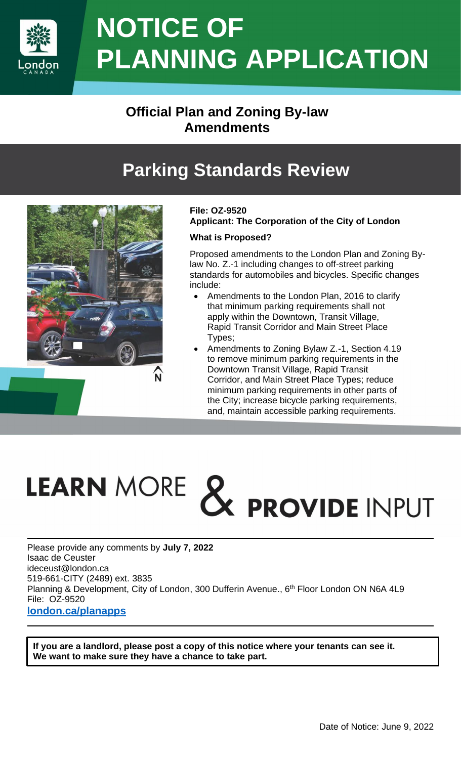

## **NOTICE OF PLANNING APPLICATION**

## **Official Plan and Zoning By-law Amendments**

## **Parking Standards Review**



#### **File: OZ-9520 Applicant: The Corporation of the City of London**

#### **What is Proposed?**

Proposed amendments to the London Plan and Zoning Bylaw No. Z.-1 including changes to off-street parking standards for automobiles and bicycles. Specific changes include:

- Amendments to the London Plan, 2016 to clarify that minimum parking requirements shall not apply within the Downtown, Transit Village, Rapid Transit Corridor and Main Street Place Types;
- Amendments to Zoning Bylaw Z.-1, Section 4.19 to remove minimum parking requirements in the Downtown Transit Village, Rapid Transit Corridor, and Main Street Place Types; reduce minimum parking requirements in other parts of the City; increase bicycle parking requirements, and, maintain accessible parking requirements.

# LEARN MORE & PROVIDE INPUT

Please provide any comments by **July 7, 2022** Isaac de Ceuster ideceust@london.ca 519-661-CITY (2489) ext. 3835 Planning & Development, City of London, 300 Dufferin Avenue., 6<sup>th</sup> Floor London ON N6A 4L9 File: OZ-9520 **[london.ca/planapps](http://www.london.ca/business/Planning-Development/land-use-applications/Pages/CurrentApplications.aspx)**

**If you are a landlord, please post a copy of this notice where your tenants can see it. We want to make sure they have a chance to take part.**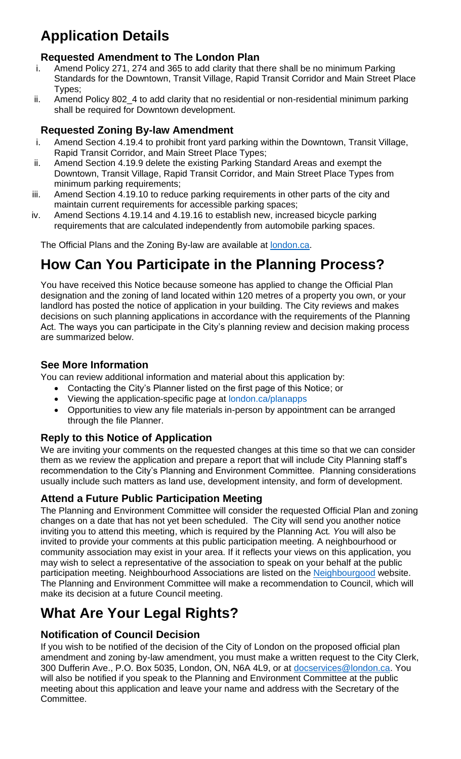## **Application Details**

#### **Requested Amendment to The London Plan**

- i. Amend Policy 271, 274 and 365 to add clarity that there shall be no minimum Parking Standards for the Downtown, Transit Village, Rapid Transit Corridor and Main Street Place Types;
- ii. Amend Policy 802\_4 to add clarity that no residential or non-residential minimum parking shall be required for Downtown development.

#### **Requested Zoning By-law Amendment**

- i. Amend Section 4.19.4 to prohibit front yard parking within the Downtown, Transit Village, Rapid Transit Corridor, and Main Street Place Types;
- ii. Amend Section 4.19.9 delete the existing Parking Standard Areas and exempt the Downtown, Transit Village, Rapid Transit Corridor, and Main Street Place Types from minimum parking requirements;
- iii. Amend Section 4.19.10 to reduce parking requirements in other parts of the city and maintain current requirements for accessible parking spaces;
- iv. Amend Sections 4.19.14 and 4.19.16 to establish new, increased bicycle parking requirements that are calculated independently from automobile parking spaces.

The Official Plans and the Zoning By-law are available at [london.ca.](https://london.ca/)

## **How Can You Participate in the Planning Process?**

You have received this Notice because someone has applied to change the Official Plan designation and the zoning of land located within 120 metres of a property you own, or your landlord has posted the notice of application in your building. The City reviews and makes decisions on such planning applications in accordance with the requirements of the Planning Act. The ways you can participate in the City's planning review and decision making process are summarized below.

#### **See More Information**

You can review additional information and material about this application by:

- Contacting the City's Planner listed on the first page of this Notice; or
- Viewing the application-specific page at [london.ca/planapps](http://www.london.ca/business/Planning-Development/land-use-applications/Pages/CurrentApplications.aspx)
- Opportunities to view any file materials in-person by appointment can be arranged through the file Planner.

#### **Reply to this Notice of Application**

We are inviting your comments on the requested changes at this time so that we can consider them as we review the application and prepare a report that will include City Planning staff's recommendation to the City's Planning and Environment Committee. Planning considerations usually include such matters as land use, development intensity, and form of development.

#### **Attend a Future Public Participation Meeting**

The Planning and Environment Committee will consider the requested Official Plan and zoning changes on a date that has not yet been scheduled. The City will send you another notice inviting you to attend this meeting, which is required by the Planning Act*. Y*ou will also be invited to provide your comments at this public participation meeting. A neighbourhood or community association may exist in your area. If it reflects your views on this application, you may wish to select a representative of the association to speak on your behalf at the public participation meeting. Neighbourhood Associations are listed on the [Neighbourgood](https://www.neighbourgoodlondon.ca/) website. The Planning and Environment Committee will make a recommendation to Council, which will make its decision at a future Council meeting.

## **What Are Your Legal Rights?**

#### **Notification of Council Decision**

If you wish to be notified of the decision of the City of London on the proposed official plan amendment and zoning by-law amendment, you must make a written request to the City Clerk, 300 Dufferin Ave., P.O. Box 5035, London, ON, N6A 4L9, or at [docservices@london.ca.](mailto:docservices@london.ca) You will also be notified if you speak to the Planning and Environment Committee at the public meeting about this application and leave your name and address with the Secretary of the Committee.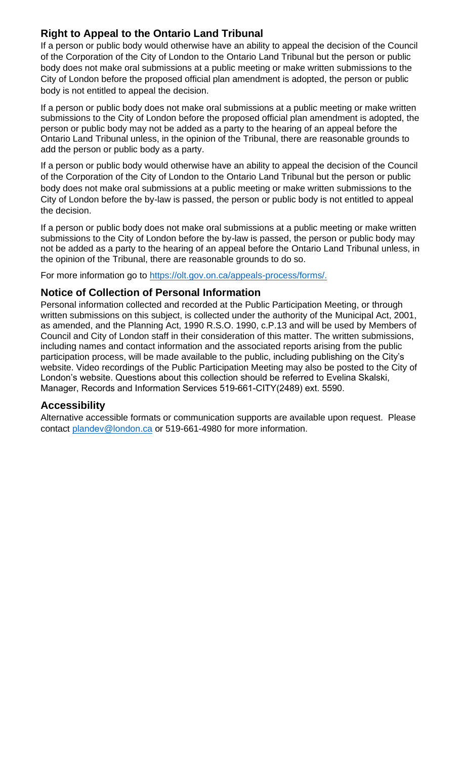#### **Right to Appeal to the Ontario Land Tribunal**

If a person or public body would otherwise have an ability to appeal the decision of the Council of the Corporation of the City of London to the Ontario Land Tribunal but the person or public body does not make oral submissions at a public meeting or make written submissions to the City of London before the proposed official plan amendment is adopted, the person or public body is not entitled to appeal the decision.

If a person or public body does not make oral submissions at a public meeting or make written submissions to the City of London before the proposed official plan amendment is adopted, the person or public body may not be added as a party to the hearing of an appeal before the Ontario Land Tribunal unless, in the opinion of the Tribunal, there are reasonable grounds to add the person or public body as a party.

If a person or public body would otherwise have an ability to appeal the decision of the Council of the Corporation of the City of London to the Ontario Land Tribunal but the person or public body does not make oral submissions at a public meeting or make written submissions to the City of London before the by-law is passed, the person or public body is not entitled to appeal the decision.

If a person or public body does not make oral submissions at a public meeting or make written submissions to the City of London before the by-law is passed, the person or public body may not be added as a party to the hearing of an appeal before the Ontario Land Tribunal unless, in the opinion of the Tribunal, there are reasonable grounds to do so.

For more information go to [https://olt.gov.on.ca/appeals-process/forms/.](https://olt.gov.on.ca/appeals-process/forms/)

#### **Notice of Collection of Personal Information**

Personal information collected and recorded at the Public Participation Meeting, or through written submissions on this subject, is collected under the authority of the Municipal Act, 2001, as amended, and the Planning Act, 1990 R.S.O. 1990, c.P.13 and will be used by Members of Council and City of London staff in their consideration of this matter. The written submissions, including names and contact information and the associated reports arising from the public participation process, will be made available to the public, including publishing on the City's website. Video recordings of the Public Participation Meeting may also be posted to the City of London's website. Questions about this collection should be referred to Evelina Skalski, Manager, Records and Information Services 519-661-CITY(2489) ext. 5590.

#### **Accessibility**

Alternative accessible formats or communication supports are available upon request. Please contact plandev[@london.ca](mailto:planning@london.ca) or 519-661-4980 for more information.